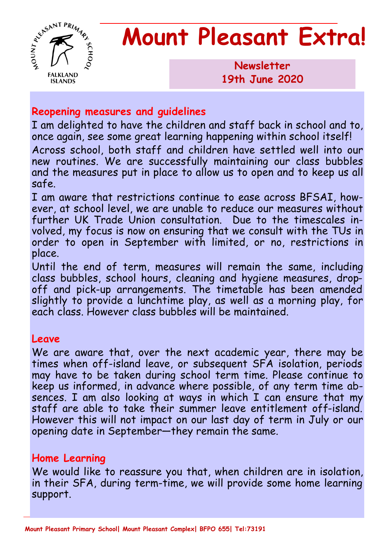

# **Mount Pleasant Extra!**

**Newsletter 1986 19th June 2020**

### **Reopening measures and guidelines**

I am delighted to have the children and staff back in school and to, once again, see some great learning happening within school itself! Across school, both staff and children have settled well into our new routines. We are successfully maintaining our class bubbles and the measures put in place to allow us to open and to keep us all safe.

I am aware that restrictions continue to ease across BFSAI, however, at school level, we are unable to reduce our measures without further UK Trade Union consultation. Due to the timescales involved, my focus is now on ensuring that we consult with the TUs in order to open in September with limited, or no, restrictions in place.

Until the end of term, measures will remain the same, including class bubbles, school hours, cleaning and hygiene measures, dropoff and pick-up arrangements. The timetable has been amended slightly to provide a lunchtime play, as well as a morning play, for each class. However class bubbles will be maintained.

#### **Leave**

We are aware that, over the next academic year, there may be times when off-island leave, or subsequent SFA isolation, periods may have to be taken during school term time. Please continue to keep us informed, in advance where possible, of any term time absences. I am also looking at ways in which I can ensure that my staff are able to take their summer leave entitlement off-island. However this will not impact on our last day of term in July or our opening date in September—they remain the same.

## **Home Learning**

We would like to reassure you that, when children are in isolation, in their SFA, during term-time, we will provide some home learning support.